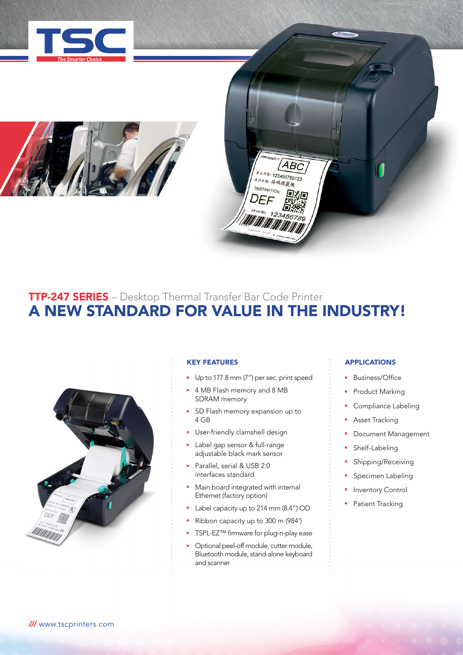





# TTP-247 SERIES – Desktop Thermal Transfer Bar Code Printer A NEW STANDARD FOR VALUE IN THE INDUSTRY!



# KEY FEATURES

- Up to 177.8 mm (7") per sec. print speed
- **4 MB Flash memory and 8 MB** SDRAM memory
- SD Flash memory expansion up to 4 GB
- **•** User-friendly clamshell design
- Label gap sensor & full-range adjustable black mark sensor
- **Parallel, serial & USB 2.0** interfaces standard
- Main board integrated with internal Ethernet (factory option)
- **Label capacity up to 214 mm (8.4") OD**
- Ribbon capacity up to 300 m (984')
- TSPL-EZ™ firmware for plug-n-play ease
- <sup>n</sup> Optional peel-off module, cutter module, Bluetooth module, stand-alone keyboard and scanner

# APPLICATIONS

- Business/Office
- Product Marking
- Compliance Labeling
- Asset Tracking
- **•** Document Management
- Shelf-Labeling
- Shipping/Receiving
- Specimen Labeling
- Inventory Control
- Patient Tracking